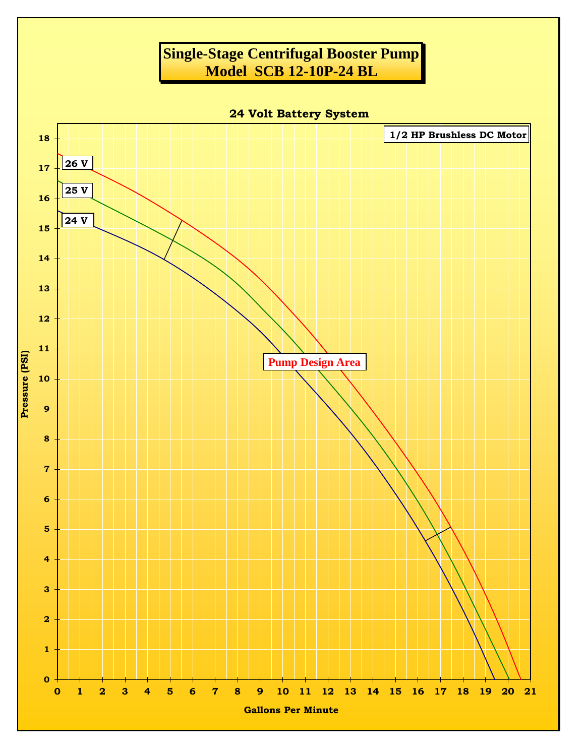## **Single-Stage Centrifugal Booster Pump Model SCB 12-10P-24 BL**

**24 Volt Battery System**